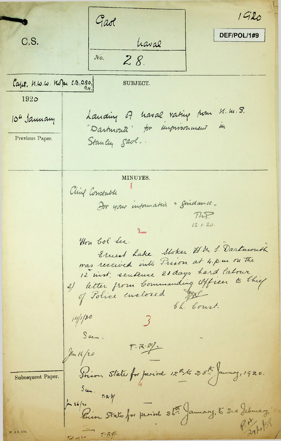$1920$ Gaol DEF/POL/1#9 C.S. haval  $28.$  $No.$ Capt. N.W.W. Kope C.B., D.S.O., SUBJECT. 1920 Landing of haval rating form M.m. S. 10" January in "Dartmouth" for unprisonment Previous Paper. Stanley Saol. MINUTES. Ching Constable For your information & guidance - $T\Lambda P$  $12.1.20.$ Hon bol See. Ernest Lake. Stoker H.M. S. Dartmouth was received into Prison at 4 p.m on the 12 inst; sentence 20 days hard labour 2) litter from Commanding Officer to thief th. Court.  $14/120$ Seen.  $T - R - S^2/4$ An 14/20 Soion State for period 12th 25th January, 1920. Subsequent Paper.  $5cm.$   $T-R-Y$ Ju 26/20 Thing State for period 36. January, to 210 Jebresy. W & S. Ltd.  $7 - 1242$  $5 - 12i$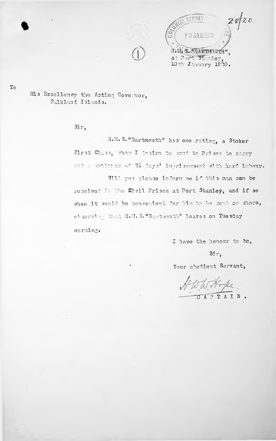



His Excellency the Acting Governor, Falkland Islands.

Sir,

H.M. S. "Dartmouth" has one rating, a Stoker First Cluss, Mion I desire to send to Prison to carry out a sextence of 21 days' imprisonment with hard labour. Will you please inform me if this man can be

received in the Eivil Prison at Port Stanley, and if so when it would be convenient for him to be sent on shore, observing Shat H.M. S. "Dartmouth" leaves on Tuesday morning.

I have the honour to be,

 $\operatorname{Si}_X$ ,

Your obedient Servant,

TW No pe APTAIN.

 $T<sub>0</sub>$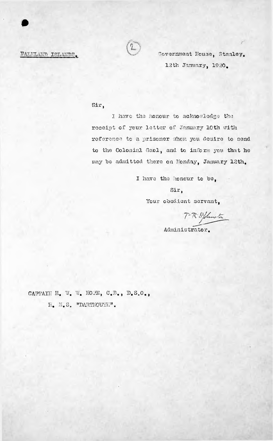## FALKLAND ISLANDS.



Covernment House, Stanley. 12th January, 1920.

### Sir,

I have the honour to acknowledge the receipt of your letter of January 10th with reference to a prisoner whom you desire to send to the Colonial Gaol, and to inform you that he may be admitted there on Monday, January 12th.

I have the honour to be,

Sir,

Your obedient servant,

 $7 - R \cdot S^2$  Sumstan

Administrator.

CAPTAIN H. W. W. HOPE, C.B., D.S.O.,

 $\mathbb{H}_\bullet$   $\mathbb{M}_\bullet$  S. "DARTIOUTH".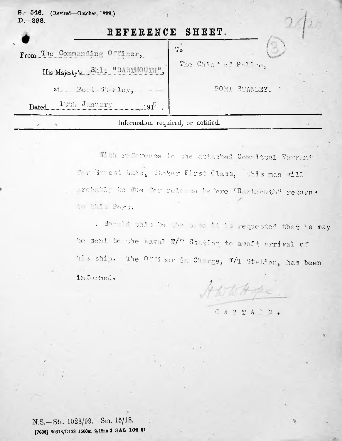| S. -546. (Revised-October, 1899.)<br>$D - 398.$ |                      |  |
|-------------------------------------------------|----------------------|--|
| REFERENCE SHEET.                                |                      |  |
| From The Commanding Officer,                    | To                   |  |
| His Majesty's Ship "DARTMOUTH",                 | The Chief of Police. |  |
|                                                 | PORT STANLEY.        |  |
| Dated 13th January 1919                         |                      |  |
| Information required, or notified.              |                      |  |

With reference to the attached Committal Warrant for Emest Lake, Stoker First Class, this man vill probably be due for relesse before "Dartmouth" returns to this Port.

. Should this be the case it is requested that he may be sent to the Naval W/T Station to avait arrival of his ship. The Officer in Charge, 7/T Station, has been informed.

A WW Hope

### CAPTAIN.

昏

N.S.-Sta. 1028/99. Sta. 15/18. [7688] 20618/D123 1500m 2/18an-3 G&S 106 61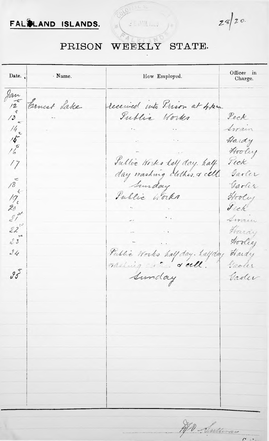

 $2820$ 

#### WEEKLY STATE. PRISON

2 E. M. Low

Officer in Date. · Name. How Employed. Charge.  $\begin{array}{c}\n\sqrt{2}u \\
\sqrt{2}u \\
\sqrt{3}u\n\end{array}$ Ernest Lake received into Prison at 4. p.m. Peck Sublic Works  $\frac{14}{16}$ Swain Hardy Hooley Sullic Works ley day. half Peck  $17$ Garler 18 19 - 28 21 23 Garler Public Works Hooley Sick. Sirain Hardy Hoolie  $24$ Public Works half day. halfday Hardy nading ... . . . dell. Caoler  $95$ Sunday Gader No Sultimo

 $\overline{\phantom{a}}$